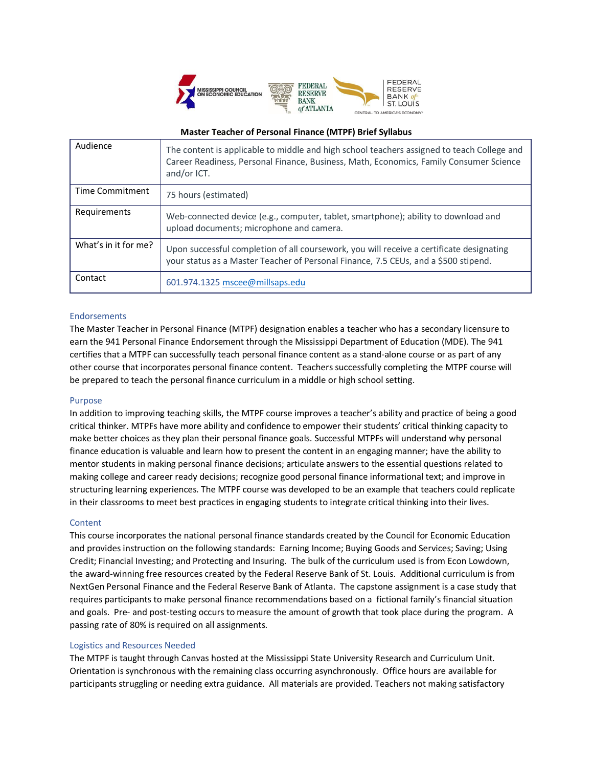

## **Master Teacher of Personal Finance (MTPF) Brief Syllabus**

| Audience               | The content is applicable to middle and high school teachers assigned to teach College and<br>Career Readiness, Personal Finance, Business, Math, Economics, Family Consumer Science<br>and/or ICT. |
|------------------------|-----------------------------------------------------------------------------------------------------------------------------------------------------------------------------------------------------|
| <b>Time Commitment</b> | 75 hours (estimated)                                                                                                                                                                                |
| Requirements           | Web-connected device (e.g., computer, tablet, smartphone); ability to download and<br>upload documents; microphone and camera.                                                                      |
| What's in it for me?   | Upon successful completion of all coursework, you will receive a certificate designating<br>your status as a Master Teacher of Personal Finance, 7.5 CEUs, and a \$500 stipend.                     |
| Contact                | 601.974.1325 mscee@millsaps.edu                                                                                                                                                                     |

# Endorsements

The Master Teacher in Personal Finance (MTPF) designation enables a teacher who has a secondary licensure to earn the 941 Personal Finance Endorsement through the Mississippi Department of Education (MDE). The 941 certifies that a MTPF can successfully teach personal finance content as a stand-alone course or as part of any other course that incorporates personal finance content. Teachers successfully completing the MTPF course will be prepared to teach the personal finance curriculum in a middle or high school setting.

#### Purpose

In addition to improving teaching skills, the MTPF course improves a teacher's ability and practice of being a good critical thinker. MTPFs have more ability and confidence to empower their students' critical thinking capacity to make better choices as they plan their personal finance goals. Successful MTPFs will understand why personal finance education is valuable and learn how to present the content in an engaging manner; have the ability to mentor students in making personal finance decisions; articulate answers to the essential questions related to making college and career ready decisions; recognize good personal finance informational text; and improve in structuring learning experiences. The MTPF course was developed to be an example that teachers could replicate in their classrooms to meet best practices in engaging students to integrate critical thinking into their lives.

## Content

This course incorporates the national personal finance standards created by the Council for Economic Education and provides instruction on the following standards: Earning Income; Buying Goods and Services; Saving; Using Credit; Financial Investing; and Protecting and Insuring. The bulk of the curriculum used is from Econ Lowdown, the award-winning free resources created by the Federal Reserve Bank of St. Louis. Additional curriculum is from NextGen Personal Finance and the Federal Reserve Bank of Atlanta. The capstone assignment is a case study that requires participants to make personal finance recommendations based on a fictional family's financial situation and goals. Pre- and post-testing occurs to measure the amount of growth that took place during the program. A passing rate of 80% is required on all assignments.

#### Logistics and Resources Needed

The MTPF is taught through Canvas hosted at the Mississippi State University Research and Curriculum Unit. Orientation is synchronous with the remaining class occurring asynchronously. Office hours are available for participants struggling or needing extra guidance. All materials are provided. Teachers not making satisfactory